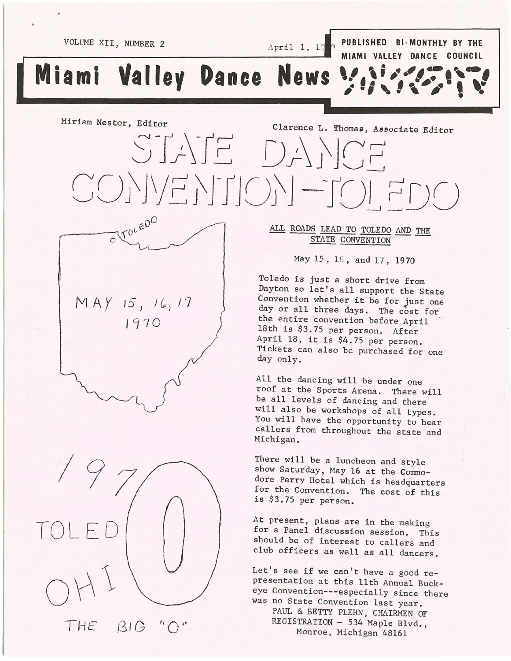$C$ O)\|\/E}JF|C)\| -TC)| FDC)

VOLUME XII, NUMBER 2 April 1, 19<sup>2</sup> PUBLISHED BI-MONTHLY BY THE **MIAMI VALLEY DANCE COUNCIL**<br> **A** . A *f* . **e** . a **f** 

•• **# Ii"". ,. # •• ;", #. , ..** 

**Miami Valley Dance News** 

Miriam Nestor, Editor Clarence L. Thomas, Associate Editor S-r;YfE *D;-\l'JCE* 

"

 $\frac{1}{2}$  TOLEDO AND THE STATE CONVENTION May 15,16 , and 17, 1970

> Toledo is just a short drive from Dayton so let's all support the State Convention whether it be for Just one day or all three days. The cost for the entire convention before April 18th is \$3.75 per person. After April 18, it is \$4.75 per person. Tickets can also be purchased for one day only.

All the dancing will be under one roof at the Sports Arena. There will be all levels of dancing and there will also be workshops of all types. You will have the opportunity to hear callers from throughout the state and Michigan.

There will be a luncheon and style show Saturday, May 16 at the Commodore Perry Hotel which is headquarters for the Convention. The cost of this is \$3.75 per person.

At present, plans are in the making for a Panel discussion session. This should be of interest to callers and club officers as well as all dancers.

Let's see if we can't have a good representation at this 11th Annual Buckeye Convention---especially since there was no State Convention last year. PAUL & BETTY PLEHN, CHAIRMEN OF REGISTRATION - 534 Maple Blvd., Monroe, Michigan 48161

 $MAY$  15, 16, 17

1970

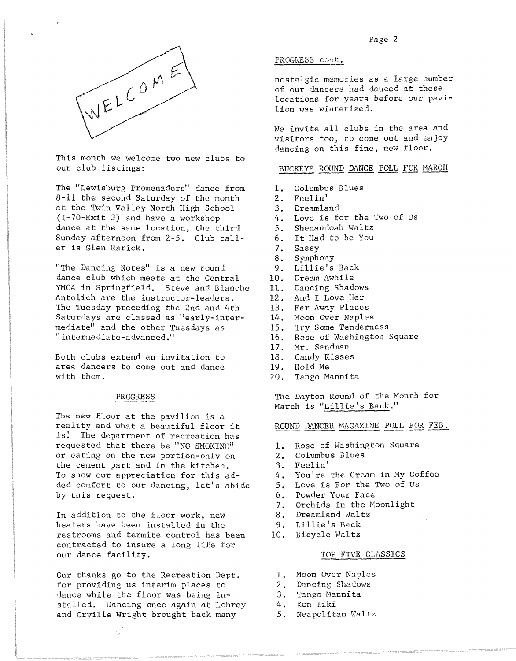

This month we welcome two new clubs to our club listings:

The "Lewisburg Promenaders" dance from 8-11 the second Saturday of the month at the Twin Valley North High School (I-70-Exit 3) and have a workshop dance at the same location, the third Sunday afternoon from 2-5. Club caller is Glen Rarick.

"The Dancing Notes" is a new round dance club which meets at the Central YMCA in Springfield. Steve and Blanche Antolich are the instructor-leaders. The Tuesday preceding the 2nd and 4th Saturdays are classed as "early-intermediate" and the other Tuesdays as Ii intermediate-advanced."

Both clubs extend an invitation to area dancers to come out and dance with them.

## PROGRESS

The new floor at the pavilion is a reality and what a beautiful floor it is! The department of recreation has requested that there be "NO SMOKING" or eating on the new portion-only on the cement part and in the kitchen. To show our appreciation for this added comfort to our dancing, let's abide by this request.

In addition to the floor work, new heaters have been installed in the restrooms and termite control has been contracted to insure a long life for our dance facility.

Our thanks go to the Recreation Dept. for providing us interim places to dance while the floor was being installed. Dancing once again at Lohrey and Orville Wright brought back many

# PROGRESS cont.

nostalgic memories as a large number of our dancers had danced at these locations for years before our pavilion was winterized.

We invite all clubs in the area and visitors *too,* to come out and enjoy dancing on this fine, new floor.

# BUCKEYE ROUND DANCE POLL FOR MARCH

- 1. Columbus Blues<br>2. Feelin'
- Feelin'
- 3. Dreamland
- 4. Love is for the Two of Us<br>5. Shenandoah Waltz
- 5. Shenandoah Waltz
- 6. It Had to be You<br>7. Sassy
- 7. Sassy
- 8. Symphony
- 9. Lillie's Back
- 10. Dream Awhile
- 11. Dancing Shadows
- 12. And I Love Her
- 13. Far Away Places
- 14. Moon Over Naples
- 15. Try Some Tenderness
- 16. Rose of Washington Square
- 17. Mr. Sandman
- 18. Candy Kisses
- 19. Hold Me
- 20. Tango Mannita

The Dayton Round of the Month for March is "Lillie's Back."

ROUND DANCER MAGAZINE POLL FOR FEB.

- 1. Rose of Washington Square
- 2. Columbus Blues
- 3. Feelin'
- 4. You're the Cream in My Coffee
- 5. Love is For the Two of Us
- 6. Powder Your Face
- 7. Orchids in the Moonlight
- 8. Dreamland Waltz
- 9. Lillie's Back
- 10. Bicycle Waltz

## TOP FIVE CLASSICS

- 1. Moon Over Naples
- 2. Dancing Shadows
- 3. Tango Mannita
- 4. Kon Tiki
- 5. Neapolitan Waltz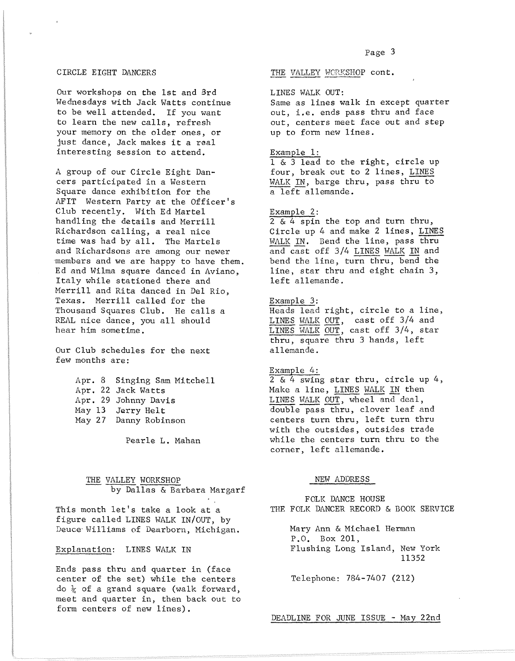#### CIRCLE EIGHT DANCERS

Our workshops on the 1st and 3rd Wednesdays with Jack Watts continue to be well attended. If you want to learn the new calls, refresh your memory on the older ones, or just dance, Jack makes it a real interesting session to attend.

A group of our Circle Eight Dancers participated in a Western Square dance exhibition for the AFIT Western Party at the Officer's Club recently. With Ed Martel handling the details and Merrill Richardson calling, a real nice time was had by all. The Martels and Richardsons are among our newer members and we are happy to have them. Ed and Wilma square danced in Aviano, Italy while stationed there and Merrill and Rita danced in Del Rio, Texas. Merrill called for the Thousand Squares Club. He calls a REAL nice dance, you all should hear him sometime.

Our Club schedules for the next few months are:

> Apr. 8 Singing Sam Mitchell Apr. 22 Jack Watts Apr. 29 Johnny Davis May 13 Jerry Helt May 27 Danny Robinson

> > Pearle L. Mahan

# THE VALLEY WORKSHOP by Dallas & Barbara Margarf

This month let's take a look at a figure called LINES WALK IN/OUT, by Deuce-Williams of Dearborn, Michigan.

# Explanation: LINES WALK IN

Ends pass thru and quarter in (face center of the set) while the centers do  $\frac{1}{4}$  of a grand square (walk forward, meet and quarter in, then back out to form centers of new lines).

#### THE VALLEY WORKSHOP cont.

#### LINES WALK OUT:

Same as lines walk in except quarter out, i.e. ends pass thru and face out, centers meet face out and step up to form new lines.

#### Example 1:

1 & 3 lead to the right, circle up four, break out to 2 lines, LINES WALK IN, barge thru, pass thru to  $a$  left allemande.

#### Example 2:

 $2 \& 4$  spin the top and turn thru, Circle up 4 and make 2 lines, LINES WALK IN. Bend the line, pass thru and cast off 3/4 LINES WALK IN and bend the line, turn thru, bend the line, star thru and eight chain 3, left allemande.

## Example 3:

Heads lead right, circle to a line, LINES WALK OUT, cast off 3/4 and LINES WALK OUT, cast off 3/4, star thru, square thru 3 hands, left allemande.

#### Example 4:

2 & 4 swing star thru, circle up 4, Make a line, LINES WALK IN then LINES WALK OUT, wheel and deal, double pass thru, clover leaf and centers turn thru, left turn thru with the outsides, outsides trade while the centers turn thru to the corner, left allemande.

## NEW ADDRESS

FOLK DANCE HOUSE THE FOLK DANCER RECORD & BOOK SERVICE

> Mary Ann & Michael Herman P.O. Box 201, Flushing Long Island, New York 11352

Telephone: 784-7407 (212)

DEADLINE FOR JUNE ISSUE - May 22nd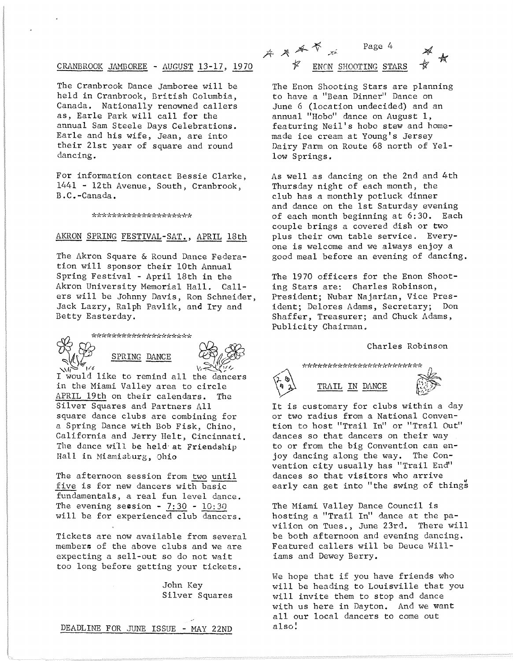# CRANBROOK JAMBOREE - AUGUST 13-17, 1970  $\mathscr{F}$  enon shooting stars

The Cranbrook Dance Jamboree will be held in Cranbrook, British Columbia, Canada. Nationally renowned callers as, Earle Park will call for the annual Sam Steele Days Celebrations. Earle and his wife, Jean, are into their 21st year of square and round dancing.

For information contact Bessie Clarke, 1441 - 12th Avenue, South, Cranbrook, B.C.-Canada.

\*\*\*\*\*\*\*\*\*\*\*\*\*\*\*\*\*\*\*\*

# AKRON SPRING FESTIVAL-SAT., APRIL 18th

The Akron Square & Round Dance Federation will sponsor their 10th Annual Spring Festival - April 18th in the Akron University Memorial Hall. Callers will be Johnny Davis, Ron Schneider, Jack Lazry, Ralph Pavlik, and Iry and Betty Easterday.

*ctf!l* ~,(~,(-1c-1(~,(\*\*-1(-1n'd(~'(~'(~'(~'()'(\*~'(>'(~'(



I would like to remind all the dancers in the Miami Valley area to circle APRIL 19th on their calendars. Silver Squares and Partners All square dance clubs are combining for a Spring Dance with Bob Fisk, Chino, California and Jerry Helt, Cincinnati. The dance will be held at Friendship Hall in Miamisburg, Ohio

The afternoon session from two until five is for new dancers with basic fundamentals, a real fun level dance. The evening session -  $7:30$  -  $10:30$ will be for experienced club dancers.

Tickets are now available from several members of the above clubs and we are expecting a sell-out so do not wait too long before getting your tickets.

> John Key Silver Squares





The Enon Shooting Stars are planning to have a "Bean Dinner" Dance on June 6 (location undecided) and an annual "Hobo" dance on August 1, featuring Neil's hobo stew and homemade ice cream at Young's Jersey Dairy Farm on Route 68 north of Yellow Springs.

As well as dancing on the 2nd and 4th Thursday night of each month, the club has a monthly potluck dinner and dance on the 1st Saturday evening of each month beginning at 6:30. Each couple brings a covered dish or two plus their own table service. Everyone is welcome and we always enjoy a good meal before an evening of dancing.

The 1970 officers for the Enon Shooting Stars are: Charles Robinson, President; Nubar Najarian, Vice President; Delores Adams, Secretary; Don Shaffer, Treasurer; and Chuck Adams, Publicity Chairman.

## Charles Robinson

\*\*\*\*\*\*\*\*\*\*\*\*\*\*\*\*\*\*\*\*\*\*\*\*\*\*



TRAIL IN DANCE

It is customary for clubs within a day or two radius from a National Convention to host "Trail In" or "Trail Out" dances so that dancers on their way to or from the big Convention can enjoy dancing along the way. The Convention city usually has "Trail End" dances so that visitors who arrive<br>early can get into "the swing of things"

The Miami Valley Dance Council is hosting a "Trail In" dance at the pavilion on Tues., June 23rd. There will be both afternoon and evening dancing. Featured callers will be Deuce Williams and Dewey Berry.

We hope that if you have friends who will be heading to Louisville that you will invite them to stop and dance with us here in Dayton. And we want all our local dancers to come out also!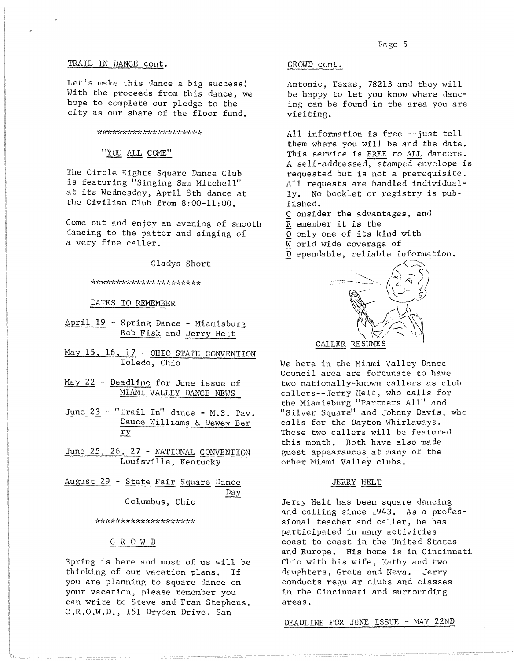#### TRAIL IN DANCE cont.

Let's make this dance a big success! With the proceeds from this dance, we hope to complete our pledge to the city as our share of the floor fund.

\*\*\*\*\*\*\*\*\*\*\*\*\*\*\*\*\*\*\*\*\*

"YOU ALL COME"

The Circle Eights Square Dance Club is featuring "Singing Sam Mitchell" at its Wednesday, April 8th dance at the Civilian Club from 8:00-11:00.

Come out and enjoy an evening of smooth dancing to the patter and singing of a very fine caller.

Gladys Short

\*\*\*\*\*\*\*\*\*\*\*\*\*\*\*\*\*\*\*\*\*\*

DATES TO REMEMBER

- April 19 Spring Dance Miamisburg Bob Fisk and Jerry Helt
- May 15, 16, 17 OHIO STATE CONVENTION Toledo, Ohio
- May 22 Deadline for June issue of MIAMI VALLEY DANCE NEWS
- June 23 "Trail In" dance M.S. Pav. Deuce Williams & Dewey Ber-.E.Y
- June 25, 26, 27 NATIONAL CONVENTION Louisville, Kentucky
- August 29 State Fair Square Dance Day' Columbus, Ohio

\*\*\*\*\*\*\*\*\*\*\*\*\*\*\*\*\*\*\*\*

# C R 0 H D

Spring is here and most of us will be thinking of our vacation plans. If you are planning to square dance on your vacation, please remember you can write to Steve and Fran Stephens, C.R.O.W.D., 151 Dryden Drive, San

## CROWD cont.

Antonio, Texas, 78213 and they will be happy to let you know where dancing can be found in the area you are visiting.

All information is free---just tell them where you will be and the date. This service is FREE to ALL dancers. A self-addressed, stamped envelope is requested but is not a prerequisite. All requests are handled individually. No booklet or registry is published.

- Consider the advantages, and
- Remember it is the
- o only one of its kind with
- World wide coverage of
- Dependable, reliable information.



We here in the Miami Valley Dance Council area are fortunate to have two nationally-known callers as club callers--Jerry Helt, who calls for the Miamisburg "Partners All" and "Silver Square" and Johnny Davis, who calls for the Dayton Whirlaways. These two callers will be featured this month. Doth have also made guest appearances at many of the other Miami Valley clubs.

## JERRY HELT

Jerry Helt has been square dancing and calling since 1943. As a professional teacher and caller, he has participated in many activities coast to coast in the United States and Europe. His home is in Cincinnati Ohio with his wife, Kathy and two daughters, Greta and Neva. Jerry conducts regular clubs and classes in the Cincinnati and surrounding areas.

DEADLINE FOR JUNE ISSUE - MAY 22ND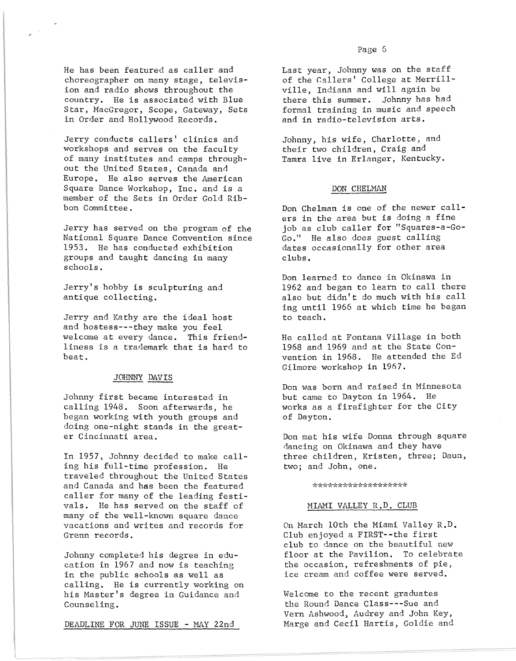Jerry conducts callers' clinics and workshops and serves on the faculty of many institutes and camps throughout the United States, Canada and Europe. He also serves the American Square Dance Workshop, Inc. and is a member of the Sets in Order Gold Ribbon Committee.

Jerry has served on the program of the National Square Dance Convention since 1953. He has conducted exhibition groups and taught dancing in many schools.

Jerry's hobby is sculpturing and antique collecting.

Jerry and Kathy are the ideal host and hostess---they make you feel welcome at every dance. This friendliness is a trademark that is hard to beat.

## JOHNNY DAVIS

Johnny first became interested in calling 1948. Soon afterwards, he began working with youth groups and doing one-night stands in the greater Cincinnati area.

In 1957, Johnny decided to make calling his full-time profession. He traveled throughout the United States and Canada and has been the featured caller for many of the leading festivals. He has served on the staff of many of the well-known square dance vacations and writes and records for Grenn records.

Johnny completed his degree in education in 1967 and now is teaching in the public schools as well as calling. He is currently working on his Master's degree in Guidance and Counseling.

DEADLINE FOR JUNE ISSUE - MAY 22nd

Last year, Johnny was on the staff of the Callers' College at Merrillville, Indiana and will again be there this summer. Johnny has had formal training in music and speech and in radio-television arts.

Johnny, his wife, Charlotte, and their two children, Craig and Tamra live in Erlanger, Kentucky.

#### DON CHELMAN

Don Chelman is one of the newer callers in the area but is doing a fine job as club caller for "Squares-a-Go-Go." He also does guest calling dates occasionally for other area clubs.

Don learned to dance in Okinawa in 1962 and began to learn to call there also but didn't do much with his call ing until 1966 at which time he began to teach.

He called at Fontana Village in both 1968 and 1969 and at the State Convention in 1968. He attended the Ed Gilmore workshop in 1967.

Don was born and raised in Minnesota but came to Dayton in 1964. He \vorks as a firefighter for the City of Dayton.

Don met his wife Donna through square dancing on Okinawa and they have three children, Kristen, three; Daun, two; and John, one.

\*\*\*\*\*\*\*\*\*\*\*\*\*\*\*\*\*\*\*

#### MIAMI VALLEY R.D. CLUB

On March 10th the Miami Valley R.D. Club enjoyed a FIRST--the first club to dance on the beautiful new floor at the Pavilion. To celebrate the occasion, refreshments of pie, ice cream and coffee were served.

Welcome to the recent graduates the Round Dance C1ass---Sue and Vern Ashwood, Audrey and John Key, Marge and Cecil Hartis, Goldie and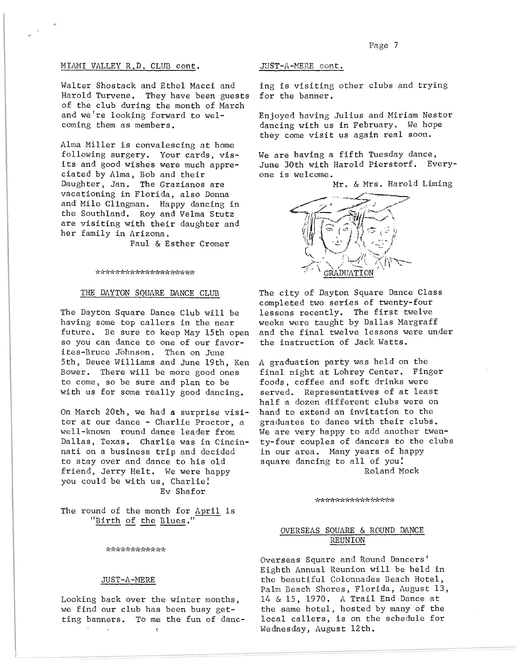## MIAMI VALLEY R.D. CLUB cont.

Walter Shostack and Ethel Macci and Harold Turvene. They have been guests of the club during the month of March and we're looking forward to welcoming them as members.

Alma Miller is convalescing at home following surgery. Your cards, visits and good wishes were much appreciated by Alma, Bob and their Daughter, Jan. The Grazianos are vacationing in Florida, also Donna and Milo Clingman. Happy dancing in the Southland. Roy and Velma Stutz are visiting with their daughter and her family in Arizona.

Paul & Esther Cromer

#### \*\*\*\*\*\*\*\*\*\*\*\*\*\*\*\*\*\*\*\*\*

#### THE DAYTON SQUARE DANCE CLUB

The Dayton Square Dance Club will be having some top callers in the near future. Be sure to keep May 15th open so you can dance to one of our favorites-Bruce Johnson. Then on June 5th, Deuce Williams and June 19th, Ken Bower. There will be more good ones to come, so be sure and plan to be with us for some really good dancing.

On March 20th, we had a surprise visitor at our dance - Charlie Proctor, a well-known round dance leader from Dallas, Texas. Charlie was in Cincinnati on a business trip and decided to stay over and dance to his old friend, Jerry Helt. We were happy you could be with us, Charlie! Ev Shafor

The round of the month for April is "Birth of the Blues."

\*\*\*\*\*\*\*\*\*\*\*\*\*

## JUST-A-MERE

Looking back over the winter months, we find our club has been busy getting banners. To me the fun of danc- $\bar{\chi}$ 

JUST-A-MERE cont.

ing is visitins other clubs and trying for the banner.

Enjoyed having Julius and Miriam Nestor dancing with us in February. We hope they come visit us again real soon.

We are having a fifth Tuesday dance, June 30th with Harold Pierstorf. Everyone is welcome.

Mr. & Mrs. Harold Liming



The city of Dayton Square Dance Class completed two series of twenty-four lessons recently. The first twelve weeks were taught by Dallas Margraff and the final twelve lessons were under the instruction of Jack Watts.

A graduation party was held on the final night at Lohrey Center. Finger foods, coffee and soft drinks were served. Representatives of at least half a dozen different clubs were on hand to extend an invitation to the graduates to dance with their clubs. We are very happy to add another twenty-four couples of dancers to the clubs in our area. Many years of happy square dancing to all of you! Roland Mock

\*\*\*\*\*\*\*\*\*\*\*\*\*\*\*\*

## OVERSEAS SQUARE & ROUND DANCE REUNION

Overseas Square and Round Dancers' Eighth Annual Reunion will be held in the beautiful Colonnades Beach Hotel, Palm Beach Shores, Florida, August 13, 14 & 15, 1970. A Trail End Dance at the same hotel, hosted by many of the local callers, is on the schedule for Wednesday, August 12th.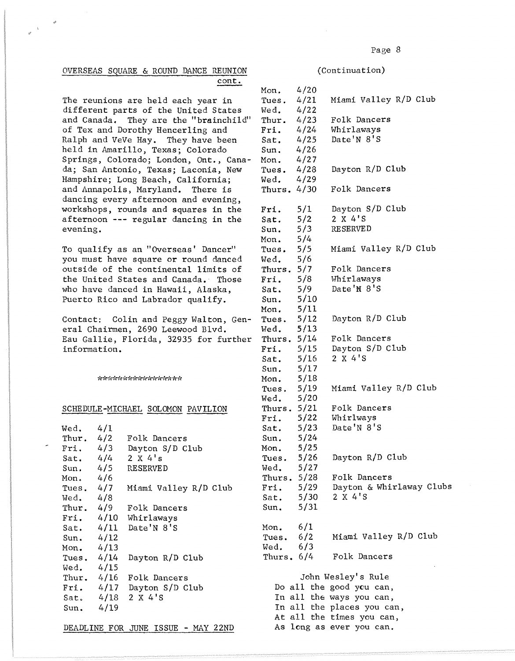# OVERSEAS SQUARE & ROUND DANCE REUNION cont.

The reunions are held each year in different parts of the United States and Canada. They are the "brainchild" of Tex and Dorothy Hencerling and Ralph and VeVe Hay. They have been held in Amarillo, Texas; Colorado Springs, Colorado; London, Ont., Canada; San Antonio, Texas; Laconia, New Hampshire; Long Beach, California; and Annapolis, Maryland. There is dancing every afternoon and evening, workshops, rounds and squares in the afternoon **---** regular dancing in the evening.

To qualify as an "Overseas' Dancer" you must have square or round danced outside of the continental limits of the United States and Canada. Those who have danced in Hawaii, Alaska, Puerto Rico and Labrador qualify.

Contact: Colin and Peggy Walton, General Chairmen, 2690 Leewood Blvd. Eau Gallie, Florida, 32935 for further information.

\*\*\*\*\*\*\*\*\*\*\*\*\*\*\*\*\*\*

# SCHEDULE-MICHAEL SOLOMON PAVILION

| Wed. $4/1$   |                           |
|--------------|---------------------------|
| Thur. $4/2$  | Folk Dancers              |
|              | Fri. 4/3 Dayton S/D Club  |
|              | Sat. $4/4$ 2 X 4's        |
|              | Sun. 4/5 RESERVED         |
| Mon. $4/6$   |                           |
| Tues. $4/7$  | Miami Valley R/D Club     |
| Wed. $4/8$   |                           |
|              | Thur. 4/9 Folk Dancers    |
|              | Fri. 4/10 Whirlaways      |
|              | Sat. $4/11$ Date'N 8'S    |
| Sun. $4/12$  |                           |
| Mon. $4/13$  |                           |
| Tues. $4/14$ | Dayton R/D Club           |
| Wed. $4/15$  |                           |
| Thur. $4/16$ | Folk Dancers              |
|              | Fri. 4/17 Dayton S/D Club |
| Sat. $4/18$  | 2 X 4'S                   |
| Sun. $4/19$  |                           |
|              |                           |

DEADLINE FOR JUNE ISSUE - MAY 22ND

(Continuation)

| Mon. 4/20                |                                                                                            |                            |
|--------------------------|--------------------------------------------------------------------------------------------|----------------------------|
|                          | Tues. $4/21$                                                                               | Miami Valley R/D Club      |
|                          | Wed. $4/22$                                                                                |                            |
|                          | Thur. $4/23$                                                                               | Folk Dancers               |
|                          |                                                                                            | Fri. 4/24 Whirlaways       |
|                          |                                                                                            | Date'N 8'S                 |
|                          |                                                                                            |                            |
|                          |                                                                                            |                            |
|                          |                                                                                            | Dayton R/D Club            |
|                          |                                                                                            |                            |
|                          | Fri. 4/24<br>Sat. 4/25<br>Sun. 4/26<br>Mon. 4/27<br>Tues. 4/28<br>Wed. 4/29<br>Thurs. 4/30 | Folk Dancers               |
|                          |                                                                                            |                            |
|                          |                                                                                            | Dayton S/D Club            |
| Fri. $5/1$<br>Sat. $5/2$ |                                                                                            | 2 X 4'S                    |
| Sun.                     |                                                                                            | <b>RESERVED</b>            |
| Mon.                     | $\frac{5}{3}$<br>$\frac{5}{4}$                                                             |                            |
| Tues. $5/5$              |                                                                                            | Miami Valley R/D Club      |
| Wed. 5/6                 |                                                                                            |                            |
| Thurs. $5/7$             |                                                                                            | Folk Dancers               |
|                          | Fri. $5/8$                                                                                 | Whirlaways                 |
| Sat. $5/9$               |                                                                                            | Date'N 8'S                 |
|                          |                                                                                            |                            |
| Sun. $5/10$              |                                                                                            |                            |
| Mon. 5/11                |                                                                                            |                            |
|                          | Tues. $5/12$                                                                               | Dayton R/D Club            |
|                          | Wed. 5/13                                                                                  |                            |
|                          | Thurs. $5/14$                                                                              | Folk Dancers               |
|                          |                                                                                            | Fri. 5/15 Dayton S/D Club  |
|                          | Sat. $5/16$                                                                                | 2 X 4'S                    |
| Sun. $5/17$              |                                                                                            |                            |
|                          | Mon. $5/18$                                                                                |                            |
|                          | Tues. $5/19$                                                                               | Miami Valley R/D Club      |
|                          | Wed. 5/20                                                                                  |                            |
|                          | Thurs. $5/21$                                                                              | Folk Dancers               |
|                          |                                                                                            | Fri. 5/22 Whirlways        |
|                          | Sat. $5/23$                                                                                | Date'N 8'S                 |
|                          | Sun. $5/24$                                                                                |                            |
| Mon.                     | 5/25                                                                                       |                            |
|                          | Tues. 5/26                                                                                 | Dayton R/D Club            |
|                          | Wed. 5/27                                                                                  |                            |
|                          | Thurs. $5/28$                                                                              | Folk Dancers               |
|                          | Fri. $5/29$                                                                                | Dayton & Whirlaway Clubs   |
|                          | Sat. $5/30$                                                                                | 2 X 4'S                    |
|                          | Sun. $5/31$                                                                                |                            |
|                          |                                                                                            |                            |
| Mon. $6/1$               |                                                                                            |                            |
|                          | Tues. $6/2$                                                                                | Miami Valley R/D Club      |
| Wed. $6/3$               |                                                                                            |                            |
|                          | Thurs, $6/4$                                                                               | Folk Dancers               |
|                          |                                                                                            |                            |
|                          |                                                                                            | John Wesley's Rule         |
|                          |                                                                                            | Do all the good you can,   |
|                          |                                                                                            | In all the ways you can,   |
|                          |                                                                                            | In all the places you can, |
|                          |                                                                                            | At all the times you can,  |
|                          |                                                                                            | As long as ever you can.   |